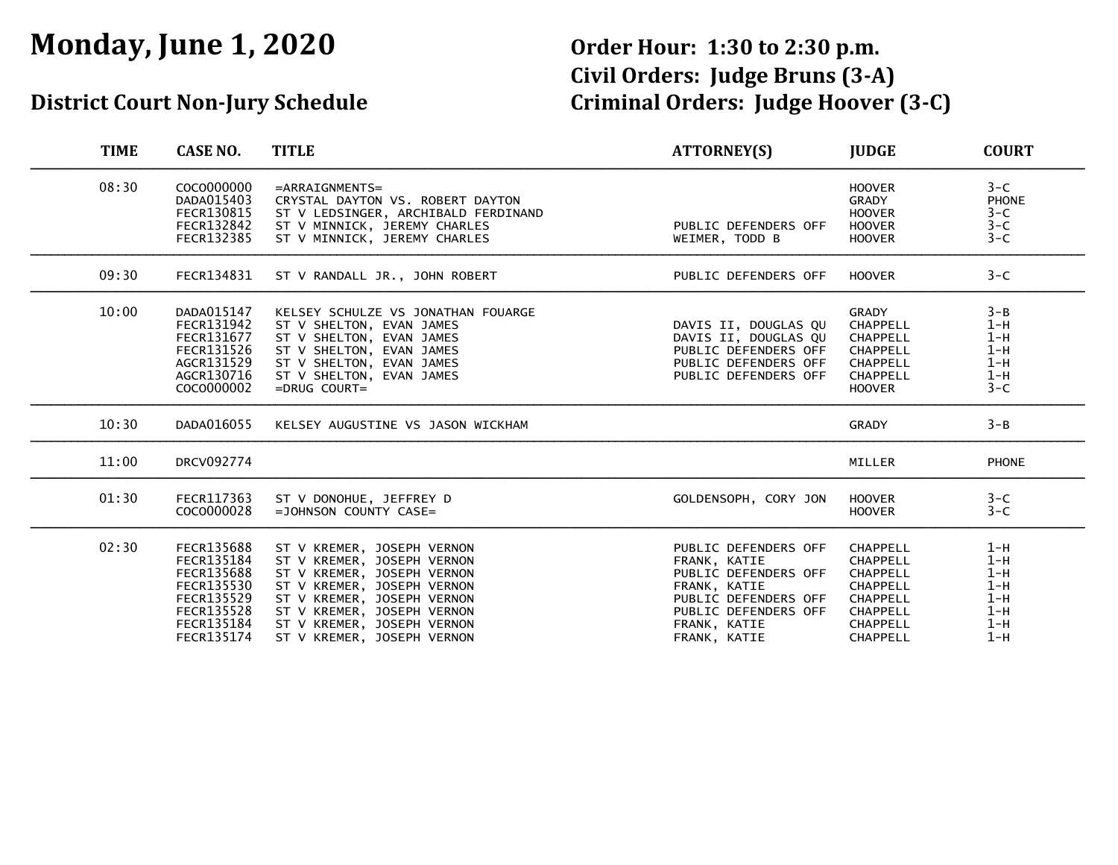# **Monday, June 1, 2020 Order Hour: 1:30 to 2:30 p.m.**

# **Civil Orders: Judge Bruns (3-A) District Court Non-Jury Schedule Criminal Orders: Judge Hoover (3-C)**

| <b>TIME</b> | <b>CASE NO.</b>                                                                                                                   | <b>TITLE</b>                                                                                                                                                                                                                                 | ATTORNEY(S)                                                                                                                                                  | <b>JUDGE</b>                                                                                                             | <b>COURT</b>                                                         |
|-------------|-----------------------------------------------------------------------------------------------------------------------------------|----------------------------------------------------------------------------------------------------------------------------------------------------------------------------------------------------------------------------------------------|--------------------------------------------------------------------------------------------------------------------------------------------------------------|--------------------------------------------------------------------------------------------------------------------------|----------------------------------------------------------------------|
| 08:30       | COCO000000<br>DADA015403<br>FECR130815<br>FECR132842<br>FECR132385                                                                | $=$ ARRAIGNMENTS=<br>CRYSTAL DAYTON VS. ROBERT DAYTON<br>ST V LEDSINGER, ARCHIBALD FERDINAND<br>ST V MINNICK, JEREMY CHARLES<br>ST V MINNICK, JEREMY CHARLES                                                                                 | PUBLIC DEFENDERS OFF<br>WEIMER, TODD B                                                                                                                       | <b>HOOVER</b><br>GRADY<br><b>HOOVER</b><br><b>HOOVER</b><br><b>HOOVER</b>                                                | $3-C$<br><b>PHONE</b><br>$3-C$<br>$3-C$<br>$3-C$                     |
| 09:30       | FECR134831                                                                                                                        | ST V RANDALL JR., JOHN ROBERT                                                                                                                                                                                                                | PUBLIC DEFENDERS OFF                                                                                                                                         | <b>HOOVER</b>                                                                                                            | $3-C$                                                                |
| 10:00       | DADA015147<br>FECR131942<br>FECR131677<br>FECR131526<br>AGCR131529<br>AGCR130716<br>COCO000002                                    | KELSEY SCHULZE VS JONATHAN FOUARGE<br>ST V SHELTON, EVAN JAMES<br>ST V SHELTON, EVAN JAMES<br>ST V SHELTON, EVAN JAMES<br>ST V SHELTON, EVAN JAMES<br>ST V SHELTON, EVAN JAMES<br>$=$ DRUG COURT=                                            | DAVIS II, DOUGLAS QU<br>DAVIS II, DOUGLAS QU<br>PUBLIC DEFENDERS OFF<br>PUBLIC DEFENDERS OFF<br>PUBLIC DEFENDERS OFF                                         | <b>GRADY</b><br>CHAPPELL<br>CHAPPELL<br><b>CHAPPELL</b><br><b>CHAPPELL</b><br><b>CHAPPELL</b><br><b>HOOVER</b>           | $3 - B$<br>$1-H$<br>$1-H$<br>$1-H$<br>$1-H$<br>$1-H$<br>$3-C$        |
| 10:30       | DADA016055                                                                                                                        | KELSEY AUGUSTINE VS JASON WICKHAM                                                                                                                                                                                                            |                                                                                                                                                              | <b>GRADY</b>                                                                                                             | $3 - B$                                                              |
| 11:00       | <b>DRCV092774</b>                                                                                                                 |                                                                                                                                                                                                                                              |                                                                                                                                                              | MILLER                                                                                                                   | <b>PHONE</b>                                                         |
| 01:30       | FECR117363<br>COCO000028                                                                                                          | ST V DONOHUE, JEFFREY D<br>$=$ JOHNSON COUNTY CASE=                                                                                                                                                                                          | GOLDENSOPH, CORY JON                                                                                                                                         | <b>HOOVER</b><br><b>HOOVER</b>                                                                                           | $3-C$<br>$3-C$                                                       |
| 02:30       | FECR135688<br>FECR135184<br><b>FECR135688</b><br>FECR135530<br><b>FECR135529</b><br><b>FECR135528</b><br>FECR135184<br>FECR135174 | ST V KREMER, JOSEPH VERNON<br>ST V KREMER, JOSEPH VERNON<br>ST V KREMER, JOSEPH VERNON<br>ST V KREMER, JOSEPH VERNON<br>ST V KREMER, JOSEPH VERNON<br>ST V KREMER, JOSEPH VERNON<br>ST V KREMER, JOSEPH VERNON<br>ST V KREMER, JOSEPH VERNON | PUBLIC DEFENDERS OFF<br>FRANK, KATIE<br>PUBLIC DEFENDERS OFF<br>FRANK, KATIE<br>PUBLIC DEFENDERS OFF<br>PUBLIC DEFENDERS OFF<br>FRANK, KATIE<br>FRANK, KATIE | CHAPPELL<br><b>CHAPPELL</b><br><b>CHAPPELL</b><br>CHAPPELL<br>CHAPPELL<br><b>CHAPPELL</b><br>CHAPPELL<br><b>CHAPPELL</b> | $1-H$<br>$1-H$<br>$1-H$<br>$1-H$<br>$1-H$<br>$1-H$<br>$1-H$<br>$1-H$ |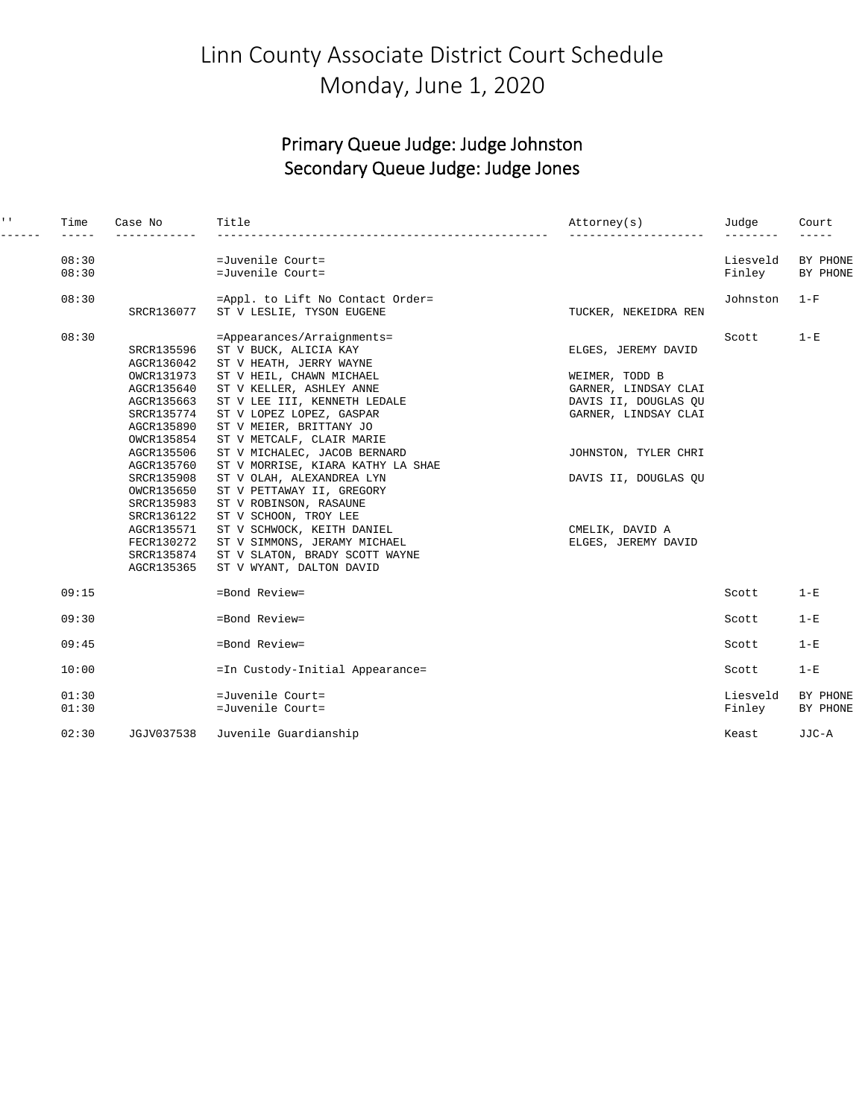### Linn County Associate District Court Schedule Monday, June 1, 2020

#### Primary Queue Judge: Judge Johnston Secondary Queue Judge: Judge Jones

| $\mathbf{1}$ , $\mathbf{1}$ . | Time  | Case No<br>--------- | Title                             | Attorney(s)          | Judge<br>--------- | Court<br>$- - - - -$ |
|-------------------------------|-------|----------------------|-----------------------------------|----------------------|--------------------|----------------------|
|                               | 08:30 |                      | =Juvenile Court=                  |                      | Liesveld           | BY PHONE             |
|                               | 08:30 |                      | =Juvenile Court=                  |                      | Finley             | BY PHONE             |
|                               | 08:30 |                      | =Appl. to Lift No Contact Order=  |                      | Johnston           | $1-F$                |
|                               |       | SRCR136077           | ST V LESLIE, TYSON EUGENE         | TUCKER, NEKEIDRA REN |                    |                      |
|                               | 08:30 |                      | =Appearances/Arraignments=        |                      | Scott              | $1 - E$              |
|                               |       | SRCR135596           | ST V BUCK, ALICIA KAY             | ELGES, JEREMY DAVID  |                    |                      |
|                               |       | AGCR136042           | ST V HEATH, JERRY WAYNE           |                      |                    |                      |
|                               |       | OWCR131973           | ST V HEIL, CHAWN MICHAEL          | WEIMER, TODD B       |                    |                      |
|                               |       | AGCR135640           | ST V KELLER, ASHLEY ANNE          | GARNER, LINDSAY CLAI |                    |                      |
|                               |       | AGCR135663           | ST V LEE III, KENNETH LEDALE      | DAVIS II, DOUGLAS QU |                    |                      |
|                               |       | SRCR135774           | ST V LOPEZ LOPEZ, GASPAR          | GARNER, LINDSAY CLAI |                    |                      |
|                               |       | AGCR135890           | ST V MEIER, BRITTANY JO           |                      |                    |                      |
|                               |       | OWCR135854           | ST V METCALF, CLAIR MARIE         |                      |                    |                      |
|                               |       | AGCR135506           | ST V MICHALEC, JACOB BERNARD      | JOHNSTON, TYLER CHRI |                    |                      |
|                               |       | AGCR135760           | ST V MORRISE, KIARA KATHY LA SHAE |                      |                    |                      |
|                               |       | SRCR135908           | ST V OLAH, ALEXANDREA LYN         | DAVIS II, DOUGLAS OU |                    |                      |
|                               |       | OWCR135650           | ST V PETTAWAY II, GREGORY         |                      |                    |                      |
|                               |       | SRCR135983           | ST V ROBINSON, RASAUNE            |                      |                    |                      |
|                               |       | SRCR136122           | ST V SCHOON, TROY LEE             |                      |                    |                      |
|                               |       | AGCR135571           | ST V SCHWOCK, KEITH DANIEL        | CMELIK, DAVID A      |                    |                      |
|                               |       | FECR130272           | ST V SIMMONS, JERAMY MICHAEL      | ELGES, JEREMY DAVID  |                    |                      |
|                               |       | SRCR135874           | ST V SLATON, BRADY SCOTT WAYNE    |                      |                    |                      |
|                               |       | AGCR135365           | ST V WYANT, DALTON DAVID          |                      |                    |                      |
|                               | 09:15 |                      | =Bond Review=                     |                      | Scott              | $1 - E$              |
|                               | 09:30 |                      | =Bond Review=                     |                      | Scott              | $1-E$                |
|                               | 09:45 |                      | $=$ Bond Review=                  |                      | Scott              | $1-E$                |
|                               | 10:00 |                      | =In Custody-Initial Appearance=   |                      | Scott              | $1-E$                |
|                               | 01:30 |                      | $=$ Juvenile Court=               |                      | Liesveld           | BY PHONE             |
|                               | 01:30 |                      | =Juvenile Court=                  |                      | Finley             | BY PHONE             |
|                               | 02:30 | JGJV037538           | Juvenile Guardianship             |                      | Keast              | JJC-A                |